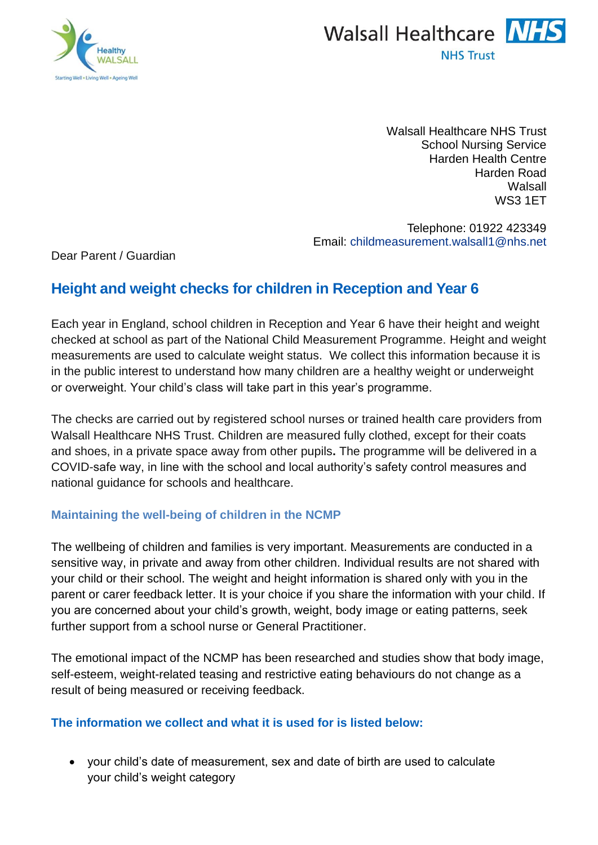



Walsall Healthcare NHS Trust School Nursing Service Harden Health Centre Harden Road Walsall WS3 1ET

Telephone: 01922 423349 Email: [childmeasurement.walsall1@nhs.net](mailto:childmeasurement.walsall1@nhs.net)

Dear Parent / Guardian

# **Height and weight checks for children in Reception and Year 6**

Each year in England, school children in Reception and Year 6 have their height and weight checked at school as part of the National Child Measurement Programme. Height and weight measurements are used to calculate weight status. We collect this information because it is in the public interest to understand how many children are a healthy weight or underweight or overweight. Your child's class will take part in this year's programme.

The checks are carried out by registered school nurses or trained health care providers from Walsall Healthcare NHS Trust. Children are measured fully clothed, except for their coats and shoes, in a private space away from other pupils**.** The programme will be delivered in a COVID-safe way, in line with the school and local authority's safety control measures and national guidance for schools and healthcare.

## **Maintaining the well-being of children in the NCMP**

The wellbeing of children and families is very important. Measurements are conducted in a sensitive way, in private and away from other children. Individual results are not shared with your child or their school. The weight and height information is shared only with you in the parent or carer feedback letter. It is your choice if you share the information with your child. If you are concerned about your child's growth, weight, body image or eating patterns, seek further support from a school nurse or General Practitioner.

The emotional impact of the NCMP has been researched and studies show that body image, self-esteem, weight-related teasing and restrictive eating behaviours do not change as a result of being measured or receiving feedback.

## **The information we collect and what it is used for is listed below:**

• your child's date of measurement, sex and date of birth are used to calculate your child's weight category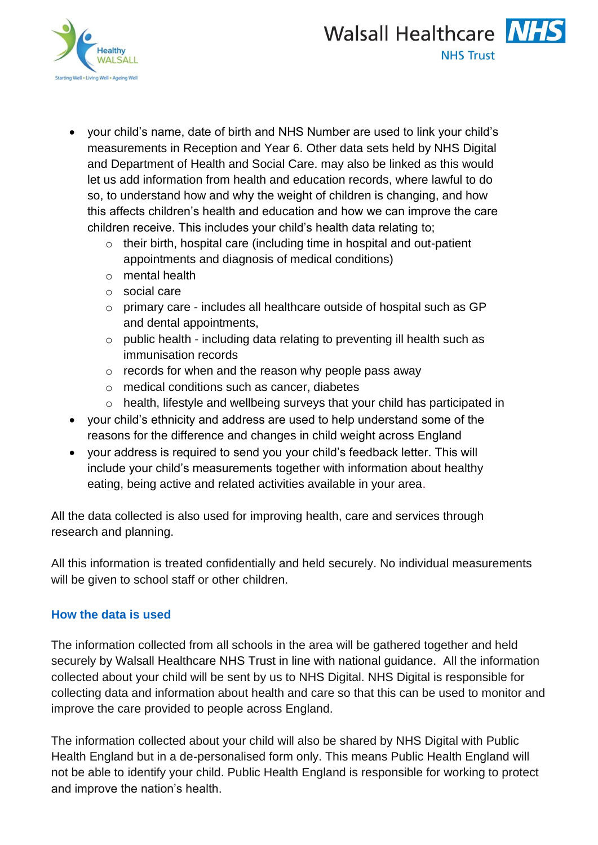



- your child's name, date of birth and NHS Number are used to link your child's measurements in Reception and Year 6. Other data sets held by NHS Digital and Department of Health and Social Care. may also be linked as this would let us add information from health and education records, where lawful to do so, to understand how and why the weight of children is changing, and how this affects children's health and education and how we can improve the care children receive. This includes your child's health data relating to;
	- o their birth, hospital care (including time in hospital and out-patient appointments and diagnosis of medical conditions)
	- o mental health
	- o social care
	- o primary care includes all healthcare outside of hospital such as GP and dental appointments,
	- o public health including data relating to preventing ill health such as immunisation records
	- $\circ$  records for when and the reason why people pass away
	- o medical conditions such as cancer, diabetes
	- o health, lifestyle and wellbeing surveys that your child has participated in
- your child's ethnicity and address are used to help understand some of the reasons for the difference and changes in child weight across England
- your address is required to send you your child's feedback letter. This will include your child's measurements together with information about healthy eating, being active and related activities available in your area.

All the data collected is also used for improving health, care and services through research and planning.

All this information is treated confidentially and held securely. No individual measurements will be given to school staff or other children.

## **How the data is used**

The information collected from all schools in the area will be gathered together and held securely by Walsall Healthcare NHS Trust in line with national guidance. All the information collected about your child will be sent by us to NHS Digital. NHS Digital is responsible for collecting data and information about health and care so that this can be used to monitor and improve the care provided to people across England.

The information collected about your child will also be shared by NHS Digital with Public Health England but in a de-personalised form only. This means Public Health England will not be able to identify your child. Public Health England is responsible for working to protect and improve the nation's health.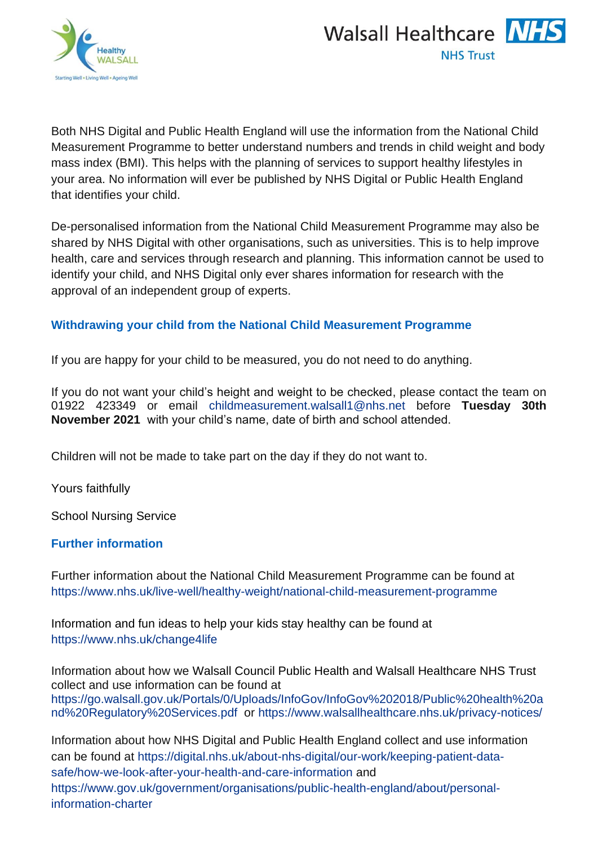



Both NHS Digital and Public Health England will use the information from the National Child Measurement Programme to better understand numbers and trends in child weight and body mass index (BMI). This helps with the planning of services to support healthy lifestyles in your area. No information will ever be published by NHS Digital or Public Health England that identifies your child.

De-personalised information from the National Child Measurement Programme may also be shared by NHS Digital with other organisations, such as universities. This is to help improve health, care and services through research and planning. This information cannot be used to identify your child, and NHS Digital only ever shares information for research with the approval of an independent group of experts.

## **Withdrawing your child from the National Child Measurement Programme**

If you are happy for your child to be measured, you do not need to do anything.

If you do not want your child's height and weight to be checked, please contact the team on 01922 423349 or email [childmeasurement.walsall1@nhs.net](mailto:childmeasurement.walsall1@nhs.net) before **Tuesday 30th November 2021** with your child's name, date of birth and school attended.

Children will not be made to take part on the day if they do not want to.

Yours faithfully

School Nursing Service

## **Further information**

Further information about the National Child Measurement Programme can be found at [https://www.nhs.uk/live-well/healthy-weight/national-child-measurement-programme](https://www.nhs.uk/live-well/healthy-weight/national-child-measurement-programme/)

Information and fun ideas to help your kids stay healthy can be found at <https://www.nhs.uk/change4life>

Information about how we Walsall Council Public Health and Walsall Healthcare NHS Trust collect and use information can be found at [https://go.walsall.gov.uk/Portals/0/Uploads/InfoGov/InfoGov%202018/Public%20health%20a](https://go.walsall.gov.uk/Portals/0/Uploads/InfoGov/InfoGov%202018/Public%20health%20and%20Regulatory%20Services.pdf) [nd%20Regulatory%20Services.pdf](https://go.walsall.gov.uk/Portals/0/Uploads/InfoGov/InfoGov%202018/Public%20health%20and%20Regulatory%20Services.pdf) or<https://www.walsallhealthcare.nhs.uk/privacy-notices/>

Information about how NHS Digital and Public Health England collect and use information can be found at [https://digital.nhs.uk/about-nhs-digital/our-work/keeping-patient-data](https://digital.nhs.uk/about-nhs-digital/our-work/keeping-patient-data-safe/how-we-look-after-your-health-and-care-information)[safe/how-we-look-after-your-health-and-care-information](https://digital.nhs.uk/about-nhs-digital/our-work/keeping-patient-data-safe/how-we-look-after-your-health-and-care-information) and [https://www.gov.uk/government/organisations/public-health-england/about/personal](https://www.gov.uk/government/organisations/public-health-england/about/personal-information-charter)[information-charter](https://www.gov.uk/government/organisations/public-health-england/about/personal-information-charter)